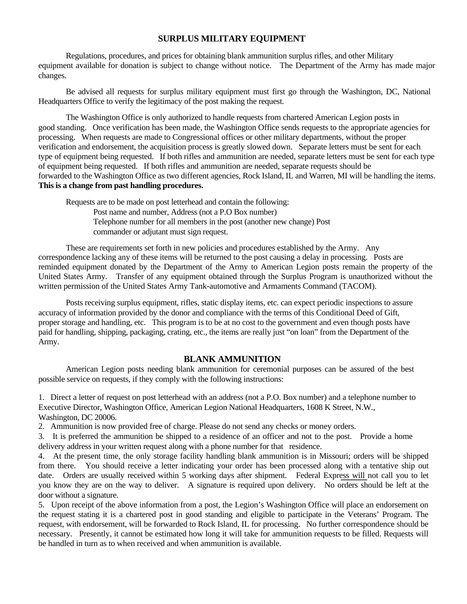# **SURPLUS MILITARY EQUIPMENT**

Regulations, procedures, and prices for obtaining blank ammunition surplus rifles, and other Military equipment available for donation is subject to change without notice. The Department of the Army has made major changes.

Be advised all requests for surplus military equipment must first go through the Washington, DC, National Headquarters Office to verify the legitimacy of the post making the request.

The Washington Office is only authorized to handle requests from chartered American Legion posts in good standing. Once verification has been made, the Washington Office sends requests to the appropriate agencies for processing. When requests are made to Congressional offices or other military departments, without the proper verification and endorsement, the acquisition process is greatly slowed down. Separate letters must be sent for each type of equipment being requested. If both rifles and ammunition are needed, separate letters must be sent for each type of equipment being requested. If both rifles and ammunition are needed, separate requests should be forwarded to the Washington Office as two different agencies, Rock Island, IL and Warren, MI will be handling the items. **This is a change from past handling procedures.** 

Requests are to be made on post letterhead and contain the following: Post name and number, Address (not a P.O Box number) Telephone number for all members in the post (another new change) Post commander or adjutant must sign request.

These are requirements set forth in new policies and procedures established by the Army. Any correspondence lacking any of these items will be returned to the post causing a delay in processing. Posts are reminded equipment donated by the Department of the Army to American Legion posts remain the property of the United States Army. Transfer of any equipment obtained through the Surplus Program is unauthorized without the written permission of the United States Army Tank-automotive and Armaments Command (TACOM).

Posts receiving surplus equipment, rifles, static display items, etc. can expect periodic inspections to assure accuracy of information provided by the donor and compliance with the terms of this Conditional Deed of Gift, proper storage and handling, etc. This program is to be at no cost to the government and even though posts have paid for handling, shipping, packaging, crating, etc., the items are really just "on loan" from the Department of the Army.

# **BLANK AMMUNITION**

American Legion posts needing blank ammunition for ceremonial purposes can be assured of the best possible service on requests, if they comply with the following instructions:

1. Direct a letter of request on post letterhead with an address (not a P.O. Box number) and a telephone number to Executive Director, Washington Office, American Legion National Headquarters, 1608 K Street, N.W., Washington, DC 20006.

2. Ammunition is now provided free of charge. Please do not send any checks or money orders.

3. It is preferred the ammunition be shipped to a residence of an officer and not to the post. Provide a home delivery address in your written request along with a phone number for that residence.

4. At the present time, the only storage facility handling blank ammunition is in Missouri; orders will be shipped from there. You should receive a letter indicating your order has been processed along with a tentative ship out date. Orders are usually received within 5 working days after shipment. Federal Express will not call you to let you know they are on the way to deliver. A signature is required upon delivery. No orders should be left at the door without a signature.

5. Upon receipt of the above information from a post, the Legion's Washington Office will place an endorsement on the request stating it is a chartered post in good standing and eligible to participate in the Veterans' Program. The request, with endorsement, will be forwarded to Rock Island, IL for processing. No further correspondence should be necessary. Presently, it cannot be estimated how long it will take for ammunition requests to be filled. Requests will be handled in turn as to when received and when ammunition is available.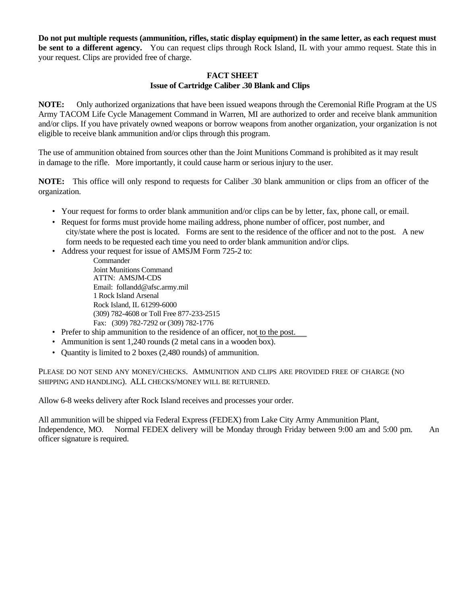**Do not put multiple requests (ammunition, rifles, static display equipment) in the same letter, as each request must be sent to a different agency.** You can request clips through Rock Island, IL with your ammo request. State this in your request. Clips are provided free of charge.

# **FACT SHEET Issue of Cartridge Caliber .30 Blank and Clips**

**NOTE:** Only authorized organizations that have been issued weapons through the Ceremonial Rifle Program at the US Army TACOM Life Cycle Management Command in Warren, MI are authorized to order and receive blank ammunition and/or clips. If you have privately owned weapons or borrow weapons from another organization, your organization is not eligible to receive blank ammunition and/or clips through this program.

The use of ammunition obtained from sources other than the Joint Munitions Command is prohibited as it may result in damage to the rifle. More importantly, it could cause harm or serious injury to the user.

**NOTE:** This office will only respond to requests for Caliber .30 blank ammunition or clips from an officer of the organization.

- Your request for forms to order blank ammunition and/or clips can be by letter, fax, phone call, or email.
- Request for forms must provide home mailing address, phone number of officer, post number, and city/state where the post is located. Forms are sent to the residence of the officer and not to the post. A new form needs to be requested each time you need to order blank ammunition and/or clips.

• Address your request for issue of AMSJM Form 725-2 to:

- Commander Joint Munitions Command ATTN: AMSJM-CDS Email: follandd@afsc.army.mil 1 Rock Island Arsenal Rock Island, IL 61299-6000 (309) 782-4608 or Toll Free 877-233-2515 Fax: (309) 782-7292 or (309) 782-1776
- Prefer to ship ammunition to the residence of an officer, not to the post.
- Ammunition is sent 1,240 rounds (2 metal cans in a wooden box).
- Quantity is limited to 2 boxes (2,480 rounds) of ammunition.

PLEASE DO NOT SEND ANY MONEY/CHECKS. AMMUNITION AND CLIPS ARE PROVIDED FREE OF CHARGE (NO SHIPPING AND HANDLING). ALL CHECKS/MONEY WILL BE RETURNED.

Allow 6-8 weeks delivery after Rock Island receives and processes your order.

All ammunition will be shipped via Federal Express (FEDEX) from Lake City Army Ammunition Plant, Independence, MO. Normal FEDEX delivery will be Monday through Friday between 9:00 am and 5:00 pm. An officer signature is required.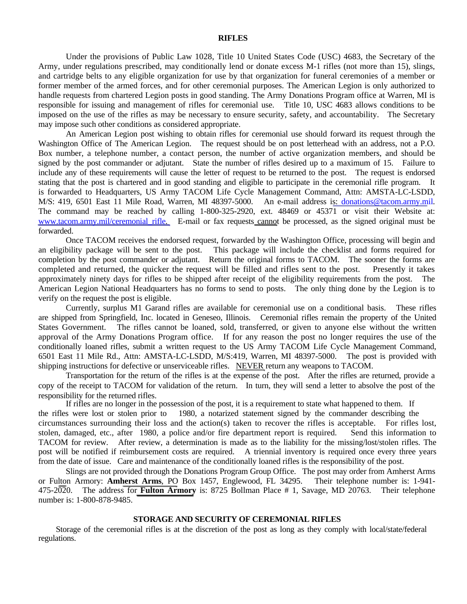#### **RIFLES**

Under the provisions of Public Law 1028, Title 10 United States Code (USC) 4683, the Secretary of the Army, under regulations prescribed, may conditionally lend or donate excess M-1 rifles (not more than 15), slings, and cartridge belts to any eligible organization for use by that organization for funeral ceremonies of a member or former member of the armed forces, and for other ceremonial purposes. The American Legion is only authorized to handle requests from chartered Legion posts in good standing. The Army Donations Program office at Warren, MI is responsible for issuing and management of rifles for ceremonial use. Title 10, USC 4683 allows conditions to be imposed on the use of the rifles as may be necessary to ensure security, safety, and accountability. The Secretary may impose such other conditions as considered appropriate.

An American Legion post wishing to obtain rifles for ceremonial use should forward its request through the Washington Office of The American Legion. The request should be on post letterhead with an address, not a P.O. Box number, a telephone number, a contact person, the number of active organization members, and should be signed by the post commander or adjutant. State the number of rifles desired up to a maximum of 15. Failure to include any of these requirements will cause the letter of request to be returned to the post. The request is endorsed stating that the post is chartered and in good standing and eligible to participate in the ceremonial rifle program. It is forwarded to Headquarters, US Army TACOM Life Cycle Management Command, Attn: AMSTA-LC-LSDD, M/S: 419, 6501 East 11 Mile Road, Warren, MI 48397-5000. An e-mail address is: donations@tacom.army.mil. The command may be reached by calling 1-800-325-2920, ext. 48469 or 45371 or visit their Website at: www.tacom.army.mil/ceremonial rifle. E-mail or fax requests cannot be processed, as the signed original must be forwarded.

Once TACOM receives the endorsed request, forwarded by the Washington Office, processing will begin and an eligibility package will be sent to the post. This package will include the checklist and forms required for completion by the post commander or adjutant. Return the original forms to TACOM. The sooner the forms are completed and returned, the quicker the request will be filled and rifles sent to the post. Presently it takes approximately ninety days for rifles to be shipped after receipt of the eligibility requirements from the post. The American Legion National Headquarters has no forms to send to posts. The only thing done by the Legion is to verify on the request the post is eligible.

Currently, surplus M1 Garand rifles are available for ceremonial use on a conditional basis. These rifles are shipped from Springfield, Inc. located in Geneseo, Illinois. Ceremonial rifles remain the property of the United States Government. The rifles cannot be loaned, sold, transferred, or given to anyone else without the written approval of the Army Donations Program office. If for any reason the post no longer requires the use of the conditionally loaned rifles, submit a written request to the US Army TACOM Life Cycle Management Command, 6501 East 11 Mile Rd., Attn: AMSTA-LC-LSDD, M/S:419, Warren, MI 48397-5000. The post is provided with shipping instructions for defective or unserviceable rifles. NEVER return any weapons to TACOM.

Transportation for the return of the rifles is at the expense of the post. After the rifles are returned, provide a copy of the receipt to TACOM for validation of the return. In turn, they will send a letter to absolve the post of the responsibility for the returned rifles.

If rifles are no longer in the possession of the post, it is a requirement to state what happened to them. If the rifles were lost or stolen prior to 1980, a notarized statement signed by the commander describing the circumstances surrounding their loss and the action(s) taken to recover the rifles is acceptable. For rifles lost, stolen, damaged, etc., after 1980, a police and/or fire department report is required. Send this information to TACOM for review. After review, a determination is made as to the liability for the missing/lost/stolen rifles. The post will be notified if reimbursement costs are required. A triennial inventory is required once every three years from the date of issue. Care and maintenance of the conditionally loaned rifles is the responsibility of the post.

Slings are not provided through the Donations Program Group Office. The post may order from Amherst Arms or Fulton Armory: **Amherst Arms**, PO Box 1457, Englewood, FL 34295. Their telephone number is: 1-941- 475-2020. The address for **Fulton Armory** is: 8725 Bollman Place # 1, Savage, MD 20763. Their telephone number is: 1-800-878-9485.

#### **STORAGE AND SECURITY OF CEREMONIAL RIFLES**

Storage of the ceremonial rifles is at the discretion of the post as long as they comply with local/state/federal regulations.